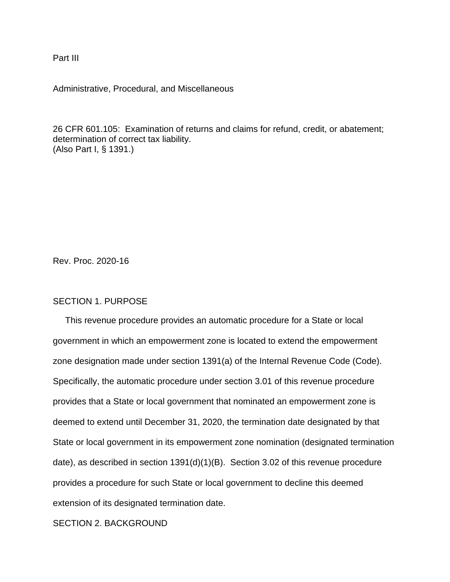Part III

Administrative, Procedural, and Miscellaneous

26 CFR 601.105: Examination of returns and claims for refund, credit, or abatement; determination of correct tax liability. (Also Part I, § 1391.)

Rev. Proc. 2020-16

#### SECTION 1. PURPOSE

 This revenue procedure provides an automatic procedure for a State or local government in which an empowerment zone is located to extend the empowerment zone designation made under section 1391(a) of the Internal Revenue Code (Code). Specifically, the automatic procedure under section 3.01 of this revenue procedure provides that a State or local government that nominated an empowerment zone is deemed to extend until December 31, 2020, the termination date designated by that State or local government in its empowerment zone nomination (designated termination date), as described in section 1391(d)(1)(B). Section 3.02 of this revenue procedure provides a procedure for such State or local government to decline this deemed extension of its designated termination date.

### SECTION 2. BACKGROUND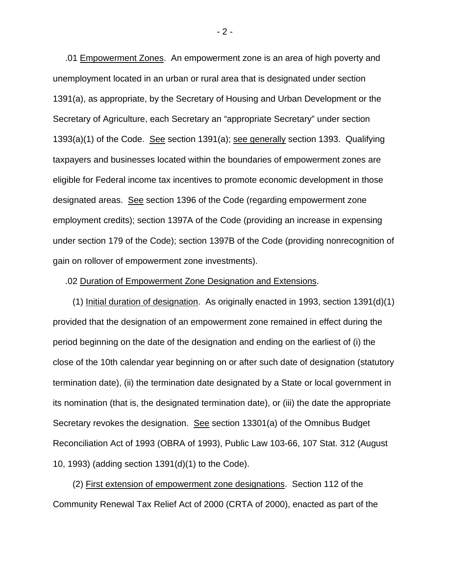.01 Empowerment Zones. An empowerment zone is an area of high poverty and unemployment located in an urban or rural area that is designated under section 1391(a), as appropriate, by the Secretary of Housing and Urban Development or the Secretary of Agriculture, each Secretary an "appropriate Secretary" under section 1393(a)(1) of the Code. See section 1391(a); see generally section 1393. Qualifying taxpayers and businesses located within the boundaries of empowerment zones are eligible for Federal income tax incentives to promote economic development in those designated areas. See section 1396 of the Code (regarding empowerment zone employment credits); section 1397A of the Code (providing an increase in expensing under section 179 of the Code); section 1397B of the Code (providing nonrecognition of gain on rollover of empowerment zone investments).

#### .02 Duration of Empowerment Zone Designation and Extensions.

 (1) Initial duration of designation. As originally enacted in 1993, section 1391(d)(1) provided that the designation of an empowerment zone remained in effect during the period beginning on the date of the designation and ending on the earliest of (i) the close of the 10th calendar year beginning on or after such date of designation (statutory termination date), (ii) the termination date designated by a State or local government in its nomination (that is, the designated termination date), or (iii) the date the appropriate Secretary revokes the designation. See section 13301(a) of the Omnibus Budget Reconciliation Act of 1993 (OBRA of 1993), Public Law 103-66, 107 Stat. 312 (August 10, 1993) (adding section 1391(d)(1) to the Code).

 (2) First extension of empowerment zone designations. Section 112 of the Community Renewal Tax Relief Act of 2000 (CRTA of 2000), enacted as part of the

 $-2 -$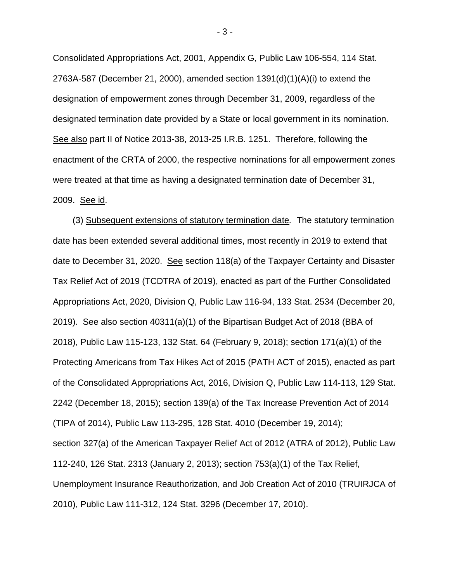Consolidated Appropriations Act, 2001, Appendix G, Public Law 106-554, 114 Stat. 2763A-587 (December 21, 2000), amended section 1391(d)(1)(A)(i) to extend the designation of empowerment zones through December 31, 2009, regardless of the designated termination date provided by a State or local government in its nomination. See also part II of Notice 2013-38, 2013-25 I.R.B. 1251. Therefore, following the enactment of the CRTA of 2000, the respective nominations for all empowerment zones were treated at that time as having a designated termination date of December 31, 2009. See id.

 (3) Subsequent extensions of statutory termination date*.* The statutory termination date has been extended several additional times, most recently in 2019 to extend that date to December 31, 2020. See section 118(a) of the Taxpayer Certainty and Disaster Tax Relief Act of 2019 (TCDTRA of 2019), enacted as part of the Further Consolidated Appropriations Act, 2020, Division Q, Public Law 116-94, 133 Stat. 2534 (December 20, 2019). See also section 40311(a)(1) of the Bipartisan Budget Act of 2018 (BBA of 2018), Public Law 115-123, 132 Stat. 64 (February 9, 2018); section 171(a)(1) of the Protecting Americans from Tax Hikes Act of 2015 (PATH ACT of 2015), enacted as part of the Consolidated Appropriations Act, 2016, Division Q, Public Law 114-113, 129 Stat. 2242 (December 18, 2015); section 139(a) of the Tax Increase Prevention Act of 2014 (TIPA of 2014), Public Law 113-295, 128 Stat. 4010 (December 19, 2014); section 327(a) of the American Taxpayer Relief Act of 2012 (ATRA of 2012), Public Law 112-240, 126 Stat. 2313 (January 2, 2013); section 753(a)(1) of the Tax Relief, Unemployment Insurance Reauthorization, and Job Creation Act of 2010 (TRUIRJCA of 2010), Public Law 111-312, 124 Stat. 3296 (December 17, 2010).

- 3 -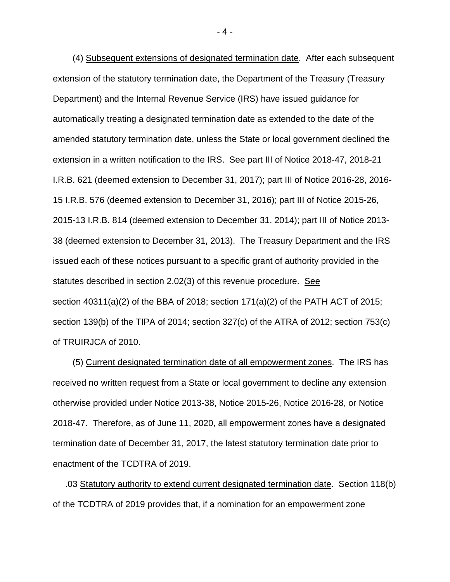(4) Subsequent extensions of designated termination date. After each subsequent extension of the statutory termination date, the Department of the Treasury (Treasury Department) and the Internal Revenue Service (IRS) have issued guidance for automatically treating a designated termination date as extended to the date of the amended statutory termination date, unless the State or local government declined the extension in a written notification to the IRS. See part III of Notice 2018-47, 2018-21 I.R.B. 621 (deemed extension to December 31, 2017); part III of Notice 2016-28, 2016- 15 I.R.B. 576 (deemed extension to December 31, 2016); part III of Notice 2015-26, 2015-13 I.R.B. 814 (deemed extension to December 31, 2014); part III of Notice 2013- 38 (deemed extension to December 31, 2013). The Treasury Department and the IRS issued each of these notices pursuant to a specific grant of authority provided in the statutes described in section 2.02(3) of this revenue procedure. See section 40311(a)(2) of the BBA of 2018; section 171(a)(2) of the PATH ACT of 2015; section 139(b) of the TIPA of 2014; section 327(c) of the ATRA of 2012; section 753(c) of TRUIRJCA of 2010.

 (5) Current designated termination date of all empowerment zones. The IRS has received no written request from a State or local government to decline any extension otherwise provided under Notice 2013-38, Notice 2015-26, Notice 2016-28, or Notice 2018-47. Therefore, as of June 11, 2020, all empowerment zones have a designated termination date of December 31, 2017, the latest statutory termination date prior to enactment of the TCDTRA of 2019.

 .03 Statutory authority to extend current designated termination date. Section 118(b) of the TCDTRA of 2019 provides that, if a nomination for an empowerment zone

- 4 -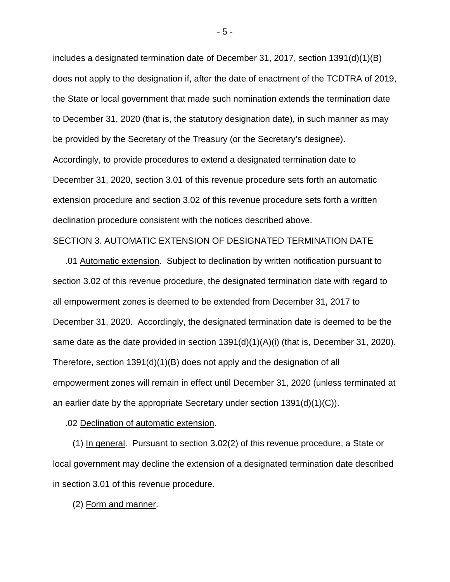includes a designated termination date of December 31, 2017, section  $1391(d)(1)(B)$ does not apply to the designation if, after the date of enactment of the TCDTRA of 2019, the State or local government that made such nomination extends the termination date to December 31, 2020 (that is, the statutory designation date), in such manner as may be provided by the Secretary of the Treasury (or the Secretary's designee). Accordingly, to provide procedures to extend a designated termination date to December 31, 2020, section 3.01 of this revenue procedure sets forth an automatic extension procedure and section 3.02 of this revenue procedure sets forth a written declination procedure consistent with the notices described above.

#### SECTION 3. AUTOMATIC EXTENSION OF DESIGNATED TERMINATION DATE

 .01 Automatic extension. Subject to declination by written notification pursuant to section 3.02 of this revenue procedure, the designated termination date with regard to all empowerment zones is deemed to be extended from December 31, 2017 to December 31, 2020. Accordingly, the designated termination date is deemed to be the same date as the date provided in section 1391(d)(1)(A)(i) (that is, December 31, 2020). Therefore, section 1391(d)(1)(B) does not apply and the designation of all empowerment zones will remain in effect until December 31, 2020 (unless terminated at an earlier date by the appropriate Secretary under section  $1391(d)(1)(C)$ .

.02 Declination of automatic extension.

 (1) In general. Pursuant to section 3.02(2) of this revenue procedure, a State or local government may decline the extension of a designated termination date described in section 3.01 of this revenue procedure.

(2) Form and manner.

- 5 -